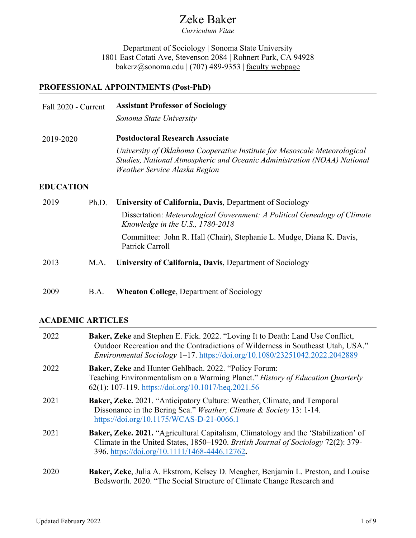# Zeke Baker

*Curriculum Vitae* 

Department of Sociology | Sonoma State University 1801 East Cotati Ave, Stevenson 2084 | Rohnert Park, CA 94928 bakerz@sonoma.edu | (707) 489-9353 | [faculty webpage](http://sociology.sonoma.edu/faculty-staff/zeke-baker-phd)

## **PROFESSIONAL APPOINTMENTS (Post-PhD)**

| Fall 2020 - Current | <b>Assistant Professor of Sociology</b>                                                                                                                                                |
|---------------------|----------------------------------------------------------------------------------------------------------------------------------------------------------------------------------------|
|                     | Sonoma State University                                                                                                                                                                |
| 2019-2020           | <b>Postdoctoral Research Associate</b>                                                                                                                                                 |
|                     | University of Oklahoma Cooperative Institute for Mesoscale Meteorological<br>Studies, National Atmospheric and Oceanic Administration (NOAA) National<br>Weather Service Alaska Region |
| <b>EDUCATION</b>    |                                                                                                                                                                                        |

| 2019 | Ph.D. | University of California, Davis, Department of Sociology                                                        |
|------|-------|-----------------------------------------------------------------------------------------------------------------|
|      |       | Dissertation: Meteorological Government: A Political Genealogy of Climate<br>Knowledge in the U.S., $1780-2018$ |
|      |       | Committee: John R. Hall (Chair), Stephanie L. Mudge, Diana K. Davis,<br>Patrick Carroll                         |
| 2013 | M.A.  | University of California, Davis, Department of Sociology                                                        |
| 2009 | B.A.  | <b>Wheaton College, Department of Sociology</b>                                                                 |

## **ACADEMIC ARTICLES**

| 2022 | Baker, Zeke and Stephen E. Fick. 2022. "Loving It to Death: Land Use Conflict,<br>Outdoor Recreation and the Contradictions of Wilderness in Southeast Utah, USA."<br>Environmental Sociology 1-17. https://doi.org/10.1080/23251042.2022.2042889 |
|------|---------------------------------------------------------------------------------------------------------------------------------------------------------------------------------------------------------------------------------------------------|
| 2022 | <b>Baker, Zeke and Hunter Gehlbach. 2022. "Policy Forum:</b><br>Teaching Environmentalism on a Warming Planet." History of Education Quarterly<br>62(1): 107-119. https://doi.org/10.1017/heq.2021.56                                             |
| 2021 | Baker, Zeke. 2021. "Anticipatory Culture: Weather, Climate, and Temporal<br>Dissonance in the Bering Sea." Weather, Climate & Society 13: 1-14.<br>https://doi.org/10.1175/WCAS-D-21-0066.1                                                       |
| 2021 | <b>Baker, Zeke. 2021.</b> "Agricultural Capitalism, Climatology and the 'Stabilization' of<br>Climate in the United States, 1850–1920. British Journal of Sociology 72(2): 379-<br>396. https://doi.org/10.1111/1468-4446.12762.                  |
| 2020 | Baker, Zeke, Julia A. Ekstrom, Kelsey D. Meagher, Benjamin L. Preston, and Louise<br>Bedsworth. 2020. "The Social Structure of Climate Change Research and                                                                                        |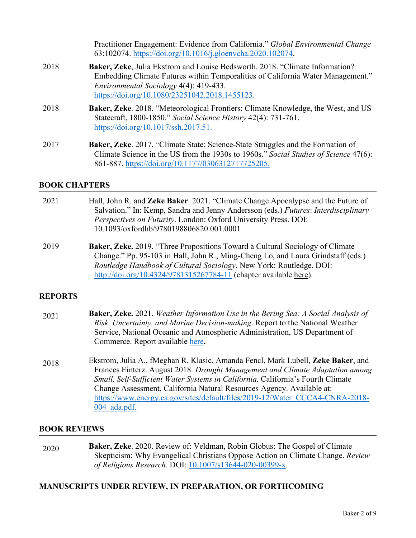Practitioner Engagement: Evidence from California." *Global Environmental Change* 63:102074. [https://doi.org/10.1016/j.gloenvcha.2020.102074.](https://doi.org/10.1016/j.gloenvcha.2020.102074)

- 2018 **Baker, Zeke**, Julia Ekstrom and Louise Bedsworth. 2018. "Climate Information? Embedding Climate Futures within Temporalities of California Water Management." *Environmental Sociology* 4(4): 419-433. [https://doi.org/10.1080/23251042.2018.1455123.](https://doi.org/10.1080/23251042.2018.1455123)
- 2018 **Baker, Zeke**. 2018. "Meteorological Frontiers: Climate Knowledge, the West, and US Statecraft, 1800-1850." *Social Science History* 42(4): 731-761. [https://doi.org/10.1017/ssh.2017.51.](https://doi.org/10.1017/ssh.2017.51)
- 2017 **Baker, Zeke**. 2017. "Climate State: Science-State Struggles and the Formation of Climate Science in the US from the 1930s to 1960s." *Social Studies of Science* 47(6): 861-887. [https://doi.org/10.1177/0306312717725205.](https://doi.org/10.1177%2F0306312717725205)

#### **BOOK CHAPTERS**

- 2021 Hall, John R. and **Zeke Baker**. 2021. "Climate Change Apocalypse and the Future of Salvation." In: Kemp, Sandra and Jenny Andersson (eds.) *Futures*: *Interdisciplinary Perspectives on Futurity*. London: Oxford University Press. DOI: 10.1093/oxfordhb/9780198806820.001.0001
- 2019 **Baker, Zeke.** 2019. "Three Propositions Toward a Cultural Sociology of Climate Change." Pp. 95-103 in Hall, John R., Ming-Cheng Lo, and Laura Grindstaff (eds.) *Routledge Handbook of Cultural Sociology*. New York: Routledge. DOI: <http://doi.org/10.4324/9781315267784-11> (chapter available [here\)](https://docs.wixstatic.com/ugd/5e72ac_87cbf3bc5b1747298ddd20ed2143c787.pdf).

#### **REPORTS**

| 2021 | Baker, Zeke. 2021. Weather Information Use in the Bering Sea: A Social Analysis of<br>Risk, Uncertainty, and Marine Decision-making. Report to the National Weather<br>Service, National Oceanic and Atmospheric Administration, US Department of<br>Commerce. Report available here.                                                                                                                                           |
|------|---------------------------------------------------------------------------------------------------------------------------------------------------------------------------------------------------------------------------------------------------------------------------------------------------------------------------------------------------------------------------------------------------------------------------------|
| 2018 | Ekstrom, Julia A., fMeghan R. Klasic, Amanda Fencl, Mark Lubell, Zeke Baker, and<br>Frances Einterz. August 2018. Drought Management and Climate Adaptation among<br>Small, Self-Sufficient Water Systems in California. California's Fourth Climate<br>Change Assessment, California Natural Resources Agency. Available at:<br>https://www.energy.ca.gov/sites/default/files/2019-12/Water CCCA4-CNRA-2018-<br>$004$ ada.pdf. |

#### **BOOK REVIEWS**

2020 **Baker, Zeke**. 2020. Review of: Veldman, Robin Globus: The Gospel of Climate Skepticism: Why Evangelical Christians Oppose Action on Climate Change. *Review of Religious Research*. DOI: [10.1007/s13644-020-00399-x.](https://doi.org/10.1007/s13644-020-00399-x)

#### **MANUSCRIPTS UNDER REVIEW, IN PREPARATION, OR FORTHCOMING**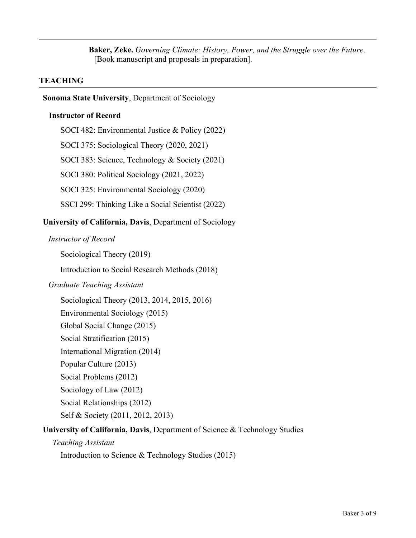**Baker, Zeke.** *Governing Climate: History, Power, and the Struggle over the Future*. [Book manuscript and proposals in preparation].

### **TEACHING**

#### **Sonoma State University**, Department of Sociology

#### **Instructor of Record**

SOCI 482: Environmental Justice & Policy (2022) SOCI 375: Sociological Theory (2020, 2021) SOCI 383: Science, Technology & Society (2021) SOCI 380: Political Sociology (2021, 2022) SOCI 325: Environmental Sociology (2020) SSCI 299: Thinking Like a Social Scientist (2022)

### **University of California, Davis**, Department of Sociology

#### *Instructor of Record*

Sociological Theory (2019)

Introduction to Social Research Methods (2018)

#### *Graduate Teaching Assistant*

Sociological Theory (2013, 2014, 2015, 2016)

Environmental Sociology (2015)

Global Social Change (2015)

Social Stratification (2015)

International Migration (2014)

- Popular Culture (2013)
- Social Problems (2012)

Sociology of Law (2012)

Social Relationships (2012)

Self & Society (2011, 2012, 2013)

## **University of California, Davis**, Department of Science & Technology Studies

#### *Teaching Assistant*

Introduction to Science & Technology Studies (2015)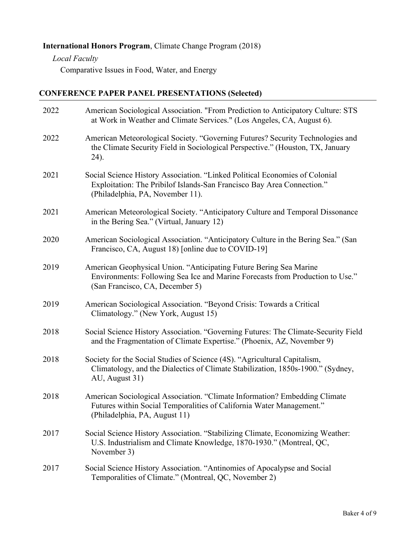# **International Honors Program**, Climate Change Program (2018)

*Local Faculty*

Comparative Issues in Food, Water, and Energy

## **CONFERENCE PAPER PANEL PRESENTATIONS (Selected)**

| 2022 | American Sociological Association. "From Prediction to Anticipatory Culture: STS<br>at Work in Weather and Climate Services." (Los Angeles, CA, August 6).                                |
|------|-------------------------------------------------------------------------------------------------------------------------------------------------------------------------------------------|
| 2022 | American Meteorological Society. "Governing Futures? Security Technologies and<br>the Climate Security Field in Sociological Perspective." (Houston, TX, January<br>24).                  |
| 2021 | Social Science History Association. "Linked Political Economies of Colonial<br>Exploitation: The Pribilof Islands-San Francisco Bay Area Connection."<br>(Philadelphia, PA, November 11). |
| 2021 | American Meteorological Society. "Anticipatory Culture and Temporal Dissonance<br>in the Bering Sea." (Virtual, January 12)                                                               |
| 2020 | American Sociological Association. "Anticipatory Culture in the Bering Sea." (San<br>Francisco, CA, August 18) [online due to COVID-19]                                                   |
| 2019 | American Geophysical Union. "Anticipating Future Bering Sea Marine<br>Environments: Following Sea Ice and Marine Forecasts from Production to Use."<br>(San Francisco, CA, December 5)    |
| 2019 | American Sociological Association. "Beyond Crisis: Towards a Critical<br>Climatology." (New York, August 15)                                                                              |
| 2018 | Social Science History Association. "Governing Futures: The Climate-Security Field<br>and the Fragmentation of Climate Expertise." (Phoenix, AZ, November 9)                              |
| 2018 | Society for the Social Studies of Science (4S). "Agricultural Capitalism,<br>Climatology, and the Dialectics of Climate Stabilization, 1850s-1900." (Sydney,<br>AU, August 31)            |
| 2018 | American Sociological Association. "Climate Information? Embedding Climate<br>Futures within Social Temporalities of California Water Management."<br>(Philadelphia, PA, August 11)       |
| 2017 | Social Science History Association. "Stabilizing Climate, Economizing Weather:<br>U.S. Industrialism and Climate Knowledge, 1870-1930." (Montreal, QC,<br>November 3)                     |
| 2017 | Social Science History Association. "Antinomies of Apocalypse and Social<br>Temporalities of Climate." (Montreal, QC, November 2)                                                         |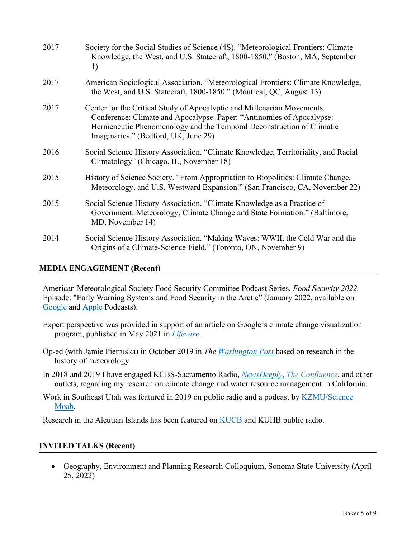| 2017 | Society for the Social Studies of Science (4S). "Meteorological Frontiers: Climate<br>Knowledge, the West, and U.S. Statecraft, 1800-1850." (Boston, MA, September<br>1)                                                                                          |
|------|-------------------------------------------------------------------------------------------------------------------------------------------------------------------------------------------------------------------------------------------------------------------|
| 2017 | American Sociological Association. "Meteorological Frontiers: Climate Knowledge,<br>the West, and U.S. Statecraft, 1800-1850." (Montreal, QC, August 13)                                                                                                          |
| 2017 | Center for the Critical Study of Apocalyptic and Millenarian Movements.<br>Conference: Climate and Apocalypse. Paper: "Antinomies of Apocalypse:<br>Hermeneutic Phenomenology and the Temporal Deconstruction of Climatic<br>Imaginaries." (Bedford, UK, June 29) |
| 2016 | Social Science History Association. "Climate Knowledge, Territoriality, and Racial<br>Climatology" (Chicago, IL, November 18)                                                                                                                                     |
| 2015 | History of Science Society. "From Appropriation to Biopolitics: Climate Change,<br>Meteorology, and U.S. Westward Expansion." (San Francisco, CA, November 22)                                                                                                    |
| 2015 | Social Science History Association. "Climate Knowledge as a Practice of<br>Government: Meteorology, Climate Change and State Formation." (Baltimore,<br>MD, November 14)                                                                                          |
| 2014 | Social Science History Association. "Making Waves: WWII, the Cold War and the<br>Origins of a Climate-Science Field." (Toronto, ON, November 9)                                                                                                                   |

#### **MEDIA ENGAGEMENT (Recent)**

American Meteorological Society Food Security Committee Podcast Series, *Food Security 2022,*  Episode: "Early Warning Systems and Food Security in the Arctic" (January 2022, available on [Google](https://podcasts.google.com/feed/aHR0cHM6Ly9hbmNob3IuZm0vcy81OTA2ZmY1MC9wb2RjYXN0L3Jzcw/episode/Yjg2OWNhMmYtYTMwNC00ZDA4LWJlMjItZjNjZDA4YzQwYjU1?sa=X&ved=0CAUQkfYCahcKEwj4h7Xi4-T1AhUAAAAAHQAAAAAQAQ) and [Apple](https://podcasts.apple.com/us/podcast/early-warning-systems-and-food-security-in-the-arctic/id1605157633?i=1000547889418) Podcasts).

- Expert perspective was provided in support of an article on Google's climate change visualization program, published in May 2021 in *[Lifewire](https://www.lifewire.com/how-google-earth-illustrates-climate-change-5179927)*.
- Op-ed (with Jamie Pietruska) in October 2019 in *The [Washington Post](https://www.washingtonpost.com/outlook/2019/10/17/should-we-talk-about-weather-should-we-talk-about-government/)* based on research in the history of meteorology.
- In 2018 and 2019 I have engaged KCBS-Sacramento Radio, *[NewsDeeply](https://www.newsdeeply.com/water/community/2018/09/06/why-some-water-managers-are-unprepared-for-climate-change)*, *[The Confluence](http://ucanr.edu/blogs/blogcore/postdetail.cfm?postnum=26794)*, and other outlets, regarding my research on climate change and water resource management in California.
- Work in Southeast Utah was featured in 2019 on public radio and a podcast by KZMU/Science [Moab.](https://www.kzmu.org/the-science-of-climbing/)

Research in the Aleutian Islands has been featured on **KUCB** and KUHB public radio.

## **INVITED TALKS (Recent)**

• Geography, Environment and Planning Research Colloquium, Sonoma State University (April 25, 2022)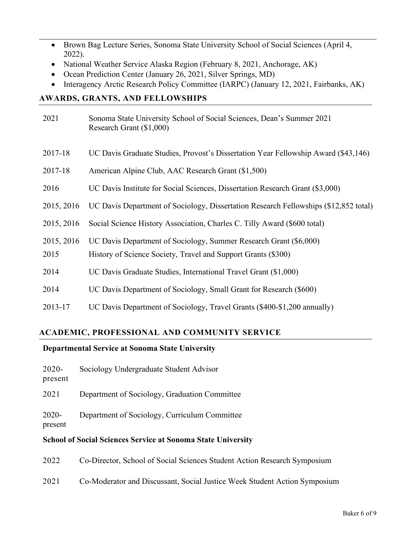- Brown Bag Lecture Series, Sonoma State University School of Social Sciences (April 4, 2022).
- National Weather Service Alaska Region (February 8, 2021, Anchorage, AK)
- Ocean Prediction Center (January 26, 2021, Silver Springs, MD)
- Interagency Arctic Research Policy Committee (IARPC) (January 12, 2021, Fairbanks, AK)

## **AWARDS, GRANTS, AND FELLOWSHIPS**

| 2021       | Sonoma State University School of Social Sciences, Dean's Summer 2021<br>Research Grant (\$1,000) |
|------------|---------------------------------------------------------------------------------------------------|
| 2017-18    | UC Davis Graduate Studies, Provost's Dissertation Year Fellowship Award (\$43,146)                |
| 2017-18    | American Alpine Club, AAC Research Grant (\$1,500)                                                |
| 2016       | UC Davis Institute for Social Sciences, Dissertation Research Grant (\$3,000)                     |
| 2015, 2016 | UC Davis Department of Sociology, Dissertation Research Fellowships (\$12,852 total)              |
| 2015, 2016 | Social Science History Association, Charles C. Tilly Award (\$600 total)                          |
| 2015, 2016 | UC Davis Department of Sociology, Summer Research Grant (\$6,000)                                 |
| 2015       | History of Science Society, Travel and Support Grants (\$300)                                     |
| 2014       | UC Davis Graduate Studies, International Travel Grant (\$1,000)                                   |
| 2014       | UC Davis Department of Sociology, Small Grant for Research (\$600)                                |
| 2013-17    | UC Davis Department of Sociology, Travel Grants (\$400-\$1,200 annually)                          |

# **ACADEMIC, PROFESSIONAL AND COMMUNITY SERVICE**

## **Departmental Service at Sonoma State University**

- 2020- Sociology Undergraduate Student Advisor
- present

2021 Department of Sociology, Graduation Committee

2020- Department of Sociology, Curriculum Committee

present

## **School of Social Sciences Service at Sonoma State University**

- 2022 Co-Director, School of Social Sciences Student Action Research Symposium
- 2021 Co-Moderator and Discussant, Social Justice Week Student Action Symposium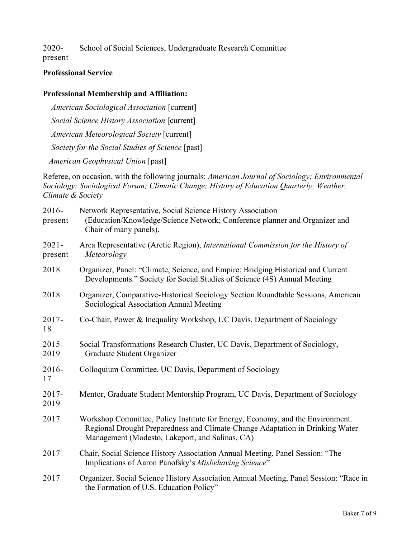2020- School of Social Sciences, Undergraduate Research Committee

present

## **Professional Service**

# **Professional Membership and Affiliation:**

*American Sociological Association* [current] *Social Science History Association* [current] *American Meteorological Society* [current] *Society for the Social Studies of Science* [past]  *American Geophysical Union* [past]

Referee, on occasion, with the following journals: *American Journal of Sociology; Environmental Sociology; Sociological Forum; Climatic Change; History of Education Quarterly; Weather, Climate & Society*

| 2016-<br>present    | Network Representative, Social Science History Association<br>(Education/Knowledge/Science Network; Conference planner and Organizer and<br>Chair of many panels).                                                 |
|---------------------|--------------------------------------------------------------------------------------------------------------------------------------------------------------------------------------------------------------------|
| $2021 -$<br>present | Area Representative (Arctic Region), International Commission for the History of<br>Meteorology                                                                                                                    |
| 2018                | Organizer, Panel: "Climate, Science, and Empire: Bridging Historical and Current<br>Developments." Society for Social Studies of Science (4S) Annual Meeting                                                       |
| 2018                | Organizer, Comparative-Historical Sociology Section Roundtable Sessions, American<br>Sociological Association Annual Meeting                                                                                       |
| $2017 -$<br>18      | Co-Chair, Power & Inequality Workshop, UC Davis, Department of Sociology                                                                                                                                           |
| $2015 -$<br>2019    | Social Transformations Research Cluster, UC Davis, Department of Sociology,<br>Graduate Student Organizer                                                                                                          |
| $2016 -$<br>17      | Colloquium Committee, UC Davis, Department of Sociology                                                                                                                                                            |
| $2017 -$<br>2019    | Mentor, Graduate Student Mentorship Program, UC Davis, Department of Sociology                                                                                                                                     |
| 2017                | Workshop Committee, Policy Institute for Energy, Economy, and the Environment.<br>Regional Drought Preparedness and Climate-Change Adaptation in Drinking Water<br>Management (Modesto, Lakeport, and Salinas, CA) |
| 2017                | Chair, Social Science History Association Annual Meeting, Panel Session: "The<br>Implications of Aaron Panofsky's Misbehaving Science"                                                                             |
| 2017                | Organizer, Social Science History Association Annual Meeting, Panel Session: "Race in<br>the Formation of U.S. Education Policy"                                                                                   |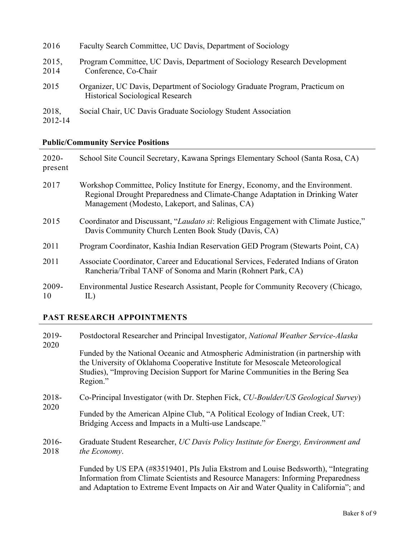| 2016             | Faculty Search Committee, UC Davis, Department of Sociology                                                            |
|------------------|------------------------------------------------------------------------------------------------------------------------|
| 2015,<br>2014    | Program Committee, UC Davis, Department of Sociology Research Development<br>Conference, Co-Chair                      |
| 2015             | Organizer, UC Davis, Department of Sociology Graduate Program, Practicum on<br><b>Historical Sociological Research</b> |
| 2018,<br>2012-14 | Social Chair, UC Davis Graduate Sociology Student Association                                                          |

**Public/Community Service Positions**

| $2020 -$<br>present | School Site Council Secretary, Kawana Springs Elementary School (Santa Rosa, CA)                                                                                                                                   |
|---------------------|--------------------------------------------------------------------------------------------------------------------------------------------------------------------------------------------------------------------|
| 2017                | Workshop Committee, Policy Institute for Energy, Economy, and the Environment.<br>Regional Drought Preparedness and Climate-Change Adaptation in Drinking Water<br>Management (Modesto, Lakeport, and Salinas, CA) |
| 2015                | Coordinator and Discussant, "Laudato si: Religious Engagement with Climate Justice,"<br>Davis Community Church Lenten Book Study (Davis, CA)                                                                       |
| 2011                | Program Coordinator, Kashia Indian Reservation GED Program (Stewarts Point, CA)                                                                                                                                    |
| 2011                | Associate Coordinator, Career and Educational Services, Federated Indians of Graton<br>Rancheria/Tribal TANF of Sonoma and Marin (Rohnert Park, CA)                                                                |
| $2009 -$<br>10      | Environmental Justice Research Assistant, People for Community Recovery (Chicago,<br>IL)                                                                                                                           |

# **PAST RESEARCH APPOINTMENTS**

| 2019-<br>2020   | Postdoctoral Researcher and Principal Investigator, National Weather Service-Alaska                                                                                                                                                                               |  |
|-----------------|-------------------------------------------------------------------------------------------------------------------------------------------------------------------------------------------------------------------------------------------------------------------|--|
|                 | Funded by the National Oceanic and Atmospheric Administration (in partnership with<br>the University of Oklahoma Cooperative Institute for Mesoscale Meteorological<br>Studies), "Improving Decision Support for Marine Communities in the Bering Sea<br>Region." |  |
| 2018-<br>2020   | Co-Principal Investigator (with Dr. Stephen Fick, CU-Boulder/US Geological Survey)                                                                                                                                                                                |  |
|                 | Funded by the American Alpine Club, "A Political Ecology of Indian Creek, UT:<br>Bridging Access and Impacts in a Multi-use Landscape."                                                                                                                           |  |
| $2016-$<br>2018 | Graduate Student Researcher, UC Davis Policy Institute for Energy, Environment and<br>the Economy.                                                                                                                                                                |  |
|                 | Funded by US EPA (#83519401, PIs Julia Ekstrom and Louise Bedsworth), "Integrating                                                                                                                                                                                |  |

Information from Climate Scientists and Resource Managers: Informing Preparedness and Adaptation to Extreme Event Impacts on Air and Water Quality in California"; and